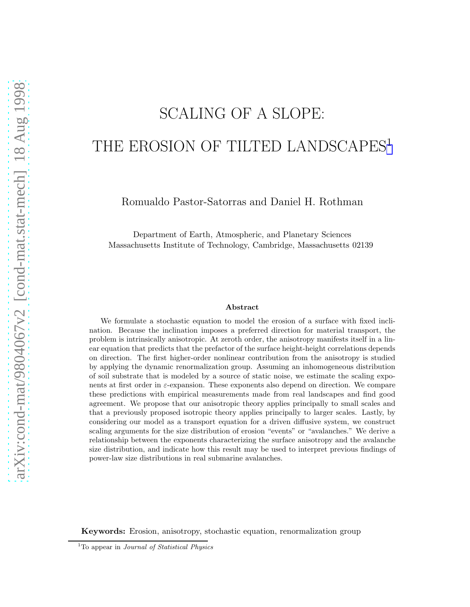# SCALING OF A SLOPE: THE EROSION OF TILTED LANDSCAPES<sup>1</sup>

Romualdo Pastor-Satorras and Daniel H. Rothman

Department of Earth, Atmospheric, and Planetary Sciences Massachusetts Institute of Technology, Cambridge, Massachusetts 02139

#### Abstract

We formulate a stochastic equation to model the erosion of a surface with fixed inclination. Because the inclination imposes a preferred direction for material transport, the problem is intrinsically anisotropic. At zeroth order, the anisotropy manifests itself in a linear equation that predicts that the prefactor of the surface height-height correlations depends on direction. The first higher-order nonlinear contribution from the anisotropy is studied by applying the dynamic renormalization group. Assuming an inhomogeneous distribution of soil substrate that is modeled by a source of static noise, we estimate the scaling exponents at first order in  $\varepsilon$ -expansion. These exponents also depend on direction. We compare these predictions with empirical measurements made from real landscapes and find good agreement. We propose that our anisotropic theory applies principally to small scales and that a previously proposed isotropic theory applies principally to larger scales. Lastly, by considering our model as a transport equation for a driven diffusive system, we construct scaling arguments for the size distribution of erosion "events" or "avalanches." We derive a relationship between the exponents characterizing the surface anisotropy and the avalanche size distribution, and indicate how this result may be used to interpret previous findings of power-law size distributions in real submarine avalanches.

Keywords: Erosion, anisotropy, stochastic equation, renormalization group

<sup>&</sup>lt;sup>1</sup>To appear in *Journal of Statistical Physics*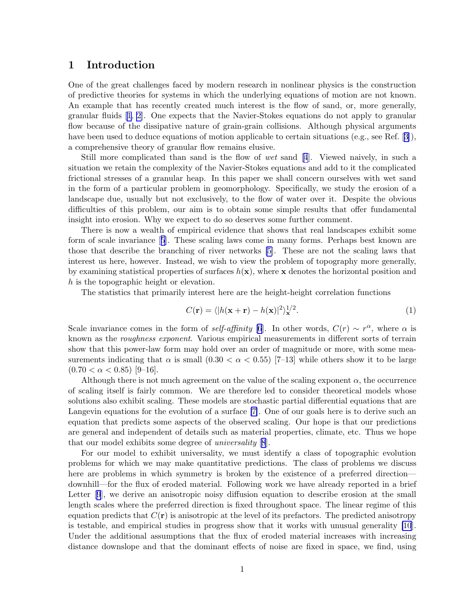## 1 Introduction

One of the great challenges faced by modern research in nonlinear physics is the construction of predictive theories for systems in which the underlying equations of motion are not known. An example that has recently created much interest is the flow of sand, or, more generally, granular fluids[[1](#page-18-0), [2\]](#page-18-0). One expects that the Navier-Stokes equations do not apply to granular flow because of the dissipative nature of grain-grain collisions. Although physical arguments havebeen used to deduce equations of motion applicable to certain situations (e.g., see Ref. [[3](#page-18-0)]), a comprehensive theory of granular flow remains elusive.

Stillmore complicated than sand is the flow of wet sand [[4](#page-18-0)]. Viewed naively, in such a situation we retain the complexity of the Navier-Stokes equations and add to it the complicated frictional stresses of a granular heap. In this paper we shall concern ourselves with wet sand in the form of a particular problem in geomorphology. Specifically, we study the erosion of a landscape due, usually but not exclusively, to the flow of water over it. Despite the obvious difficulties of this problem, our aim is to obtain some simple results that offer fundamental insight into erosion. Why we expect to do so deserves some further comment.

There is now a wealth of empirical evidence that shows that real landscapes exhibit some form of scale invariance[[5](#page-18-0)]. These scaling laws come in many forms. Perhaps best known are those that describe the branching of river networks [\[5\]](#page-18-0). These are not the scaling laws that interest us here, however. Instead, we wish to view the problem of topography more generally, by examining statistical properties of surfaces  $h(\mathbf{x})$ , where x denotes the horizontal position and h is the topographic height or elevation.

The statistics that primarily interest here are the height-height correlation functions

$$
C(\mathbf{r}) = \langle |h(\mathbf{x} + \mathbf{r}) - h(\mathbf{x})|^2 \rangle_{\mathbf{x}}^{1/2}.
$$
 (1)

Scale invariance comes in the form of *self-affinity* [[6](#page-18-0)]. In other words,  $C(r) \sim r^{\alpha}$ , where  $\alpha$  is known as the roughness exponent. Various empirical measurements in different sorts of terrain show that this power-law form may hold over an order of magnitude or more, with some measurements indicating that  $\alpha$  is small  $(0.30 < \alpha < 0.55)$  [7-13] while others show it to be large  $(0.70 < \alpha < 0.85)$  [9-16].

Although there is not much agreement on the value of the scaling exponent  $\alpha$ , the occurrence of scaling itself is fairly common. We are therefore led to consider theoretical models whose solutions also exhibit scaling. These models are stochastic partial differential equations that are Langevin equations for the evolution of a surface [\[7\]](#page-18-0). One of our goals here is to derive such an equation that predicts some aspects of the observed scaling. Our hope is that our predictions are general and independent of details such as material properties, climate, etc. Thus we hope that our model exhibits some degree of universality [[8](#page-18-0)].

For our model to exhibit universality, we must identify a class of topographic evolution problems for which we may make quantitative predictions. The class of problems we discuss here are problems in which symmetry is broken by the existence of a preferred direction downhill—for the flux of eroded material. Following work we have already reported in a brief Letter [\[9](#page-18-0)], we derive an anisotropic noisy diffusion equation to describe erosion at the small length scales where the preferred direction is fixed throughout space. The linear regime of this equation predicts that  $C(\mathbf{r})$  is anisotropic at the level of its prefactors. The predicted anisotropy is testable, and empirical studies in progress show that it works with unusual generality [\[10](#page-18-0)]. Under the additional assumptions that the flux of eroded material increases with increasing distance downslope and that the dominant effects of noise are fixed in space, we find, using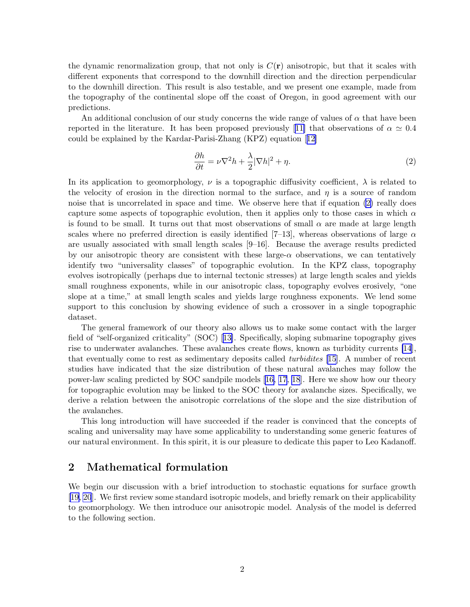<span id="page-2-0"></span>the dynamic renormalization group, that not only is  $C(\mathbf{r})$  anisotropic, but that it scales with different exponents that correspond to the downhill direction and the direction perpendicular to the downhill direction. This result is also testable, and we present one example, made from the topography of the continental slope off the coast of Oregon, in good agreement with our predictions.

An additional conclusion of our study concerns the wide range of values of  $\alpha$  that have been reported in the literature. It has been proposed previously [[11\]](#page-18-0) that observations of  $\alpha \simeq 0.4$ could be explained by the Kardar-Parisi-Zhang (KPZ) equation[[12\]](#page-18-0)

$$
\frac{\partial h}{\partial t} = \nu \nabla^2 h + \frac{\lambda}{2} |\nabla h|^2 + \eta. \tag{2}
$$

In its application to geomorphology,  $\nu$  is a topographic diffusivity coefficient,  $\lambda$  is related to the velocity of erosion in the direction normal to the surface, and  $\eta$  is a source of random noise that is uncorrelated in space and time. We observe here that if equation (2) really does capture some aspects of topographic evolution, then it applies only to those cases in which  $\alpha$ is found to be small. It turns out that most observations of small  $\alpha$  are made at large length scales where no preferred direction is easily identified [7–13], whereas observations of large  $\alpha$ are usually associated with small length scales [9–16]. Because the average results predicted by our anisotropic theory are consistent with these large- $\alpha$  observations, we can tentatively identify two "universality classes" of topographic evolution. In the KPZ class, topography evolves isotropically (perhaps due to internal tectonic stresses) at large length scales and yields small roughness exponents, while in our anisotropic class, topography evolves erosively, "one slope at a time," at small length scales and yields large roughness exponents. We lend some support to this conclusion by showing evidence of such a crossover in a single topographic dataset.

The general framework of our theory also allows us to make some contact with the larger field of "self-organized criticality" (SOC)[[13\]](#page-18-0). Specifically, sloping submarine topography gives rise to underwater avalanches. These avalanches create flows, known as turbidity currents [\[14](#page-18-0)], that eventually come to rest as sedimentary deposits called turbidites [\[15](#page-18-0)]. A number of recent studies have indicated that the size distribution of these natural avalanches may follow the power-law scaling predicted by SOC sandpile models[[16, 17](#page-18-0), [18](#page-18-0)]. Here we show how our theory for topographic evolution may be linked to the SOC theory for avalanche sizes. Specifically, we derive a relation between the anisotropic correlations of the slope and the size distribution of the avalanches.

This long introduction will have succeeded if the reader is convinced that the concepts of scaling and universality may have some applicability to understanding some generic features of our natural environment. In this spirit, it is our pleasure to dedicate this paper to Leo Kadanoff.

# 2 Mathematical formulation

We begin our discussion with a brief introduction to stochastic equations for surface growth [[19, 20](#page-18-0)]. We first review some standard isotropic models, and briefly remark on their applicability to geomorphology. We then introduce our anisotropic model. Analysis of the model is deferred to the following section.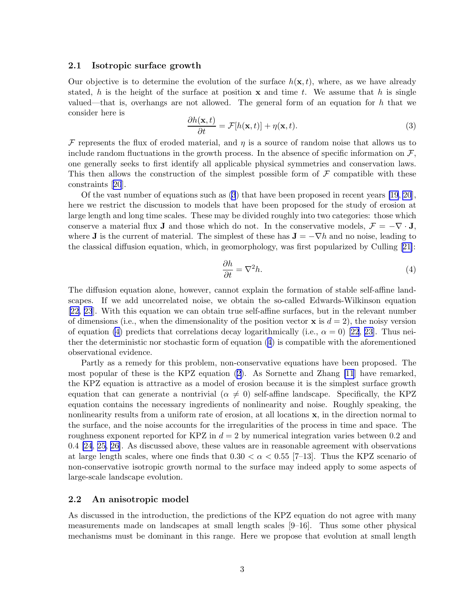#### 2.1 Isotropic surface growth

Our objective is to determine the evolution of the surface  $h(\mathbf{x}, t)$ , where, as we have already stated, h is the height of the surface at position  $x$  and time t. We assume that h is single valued—that is, overhangs are not allowed. The general form of an equation for h that we consider here is

$$
\frac{\partial h(\mathbf{x},t)}{\partial t} = \mathcal{F}[h(\mathbf{x},t)] + \eta(\mathbf{x},t). \tag{3}
$$

F represents the flux of eroded material, and  $\eta$  is a source of random noise that allows us to include random fluctuations in the growth process. In the absence of specific information on  $\mathcal{F}$ , one generally seeks to first identify all applicable physical symmetries and conservation laws. This then allows the construction of the simplest possible form of  $\mathcal F$  compatible with these constraints[[20](#page-18-0)].

Of the vast number of equations such as  $(3)$  that have been proposed in recent years [\[19](#page-18-0), [20](#page-18-0)], here we restrict the discussion to models that have been proposed for the study of erosion at large length and long time scales. These may be divided roughly into two categories: those which conserve a material flux **J** and those which do not. In the conservative models,  $\mathcal{F} = -\nabla \cdot \mathbf{J}$ , where **J** is the current of material. The simplest of these has  $\mathbf{J} = -\nabla h$  and no noise, leading to the classical diffusion equation, which, in geomorphology, was first popularized by Culling[[21\]](#page-18-0):

$$
\frac{\partial h}{\partial t} = \nabla^2 h. \tag{4}
$$

The diffusion equation alone, however, cannot explain the formation of stable self-affine landscapes. If we add uncorrelated noise, we obtain the so-called Edwards-Wilkinson equation [[22, 23](#page-18-0)]. With this equation we can obtain true self-affine surfaces, but in the relevant number of dimensions (i.e., when the dimensionality of the position vector  $x$  is  $d = 2$ ), the noisy version of equation (4) predicts that correlations decay logarithmically (i.e.,  $\alpha = 0$ ) [\[22](#page-18-0), [23\]](#page-18-0). Thus neither the deterministic nor stochastic form of equation (4) is compatible with the aforementioned observational evidence.

Partly as a remedy for this problem, non-conservative equations have been proposed. The most popular of these is the KPZ equation([2](#page-2-0)). As Sornette and Zhang [\[11](#page-18-0)] have remarked, the KPZ equation is attractive as a model of erosion because it is the simplest surface growth equation that can generate a nontrivial  $(\alpha \neq 0)$  self-affine landscape. Specifically, the KPZ equation contains the necessary ingredients of nonlinearity and noise. Roughly speaking, the nonlinearity results from a uniform rate of erosion, at all locations  $x$ , in the direction normal to the surface, and the noise accounts for the irregularities of the process in time and space. The roughness exponent reported for KPZ in  $d = 2$  by numerical integration varies between 0.2 and 0.4 [\[24](#page-18-0), [25, 26](#page-18-0)]. As discussed above, these values are in reasonable agreement with observations at large length scales, where one finds that  $0.30 < \alpha < 0.55$  [7-13]. Thus the KPZ scenario of non-conservative isotropic growth normal to the surface may indeed apply to some aspects of large-scale landscape evolution.

#### 2.2 An anisotropic model

As discussed in the introduction, the predictions of the KPZ equation do not agree with many measurements made on landscapes at small length scales [9–16]. Thus some other physical mechanisms must be dominant in this range. Here we propose that evolution at small length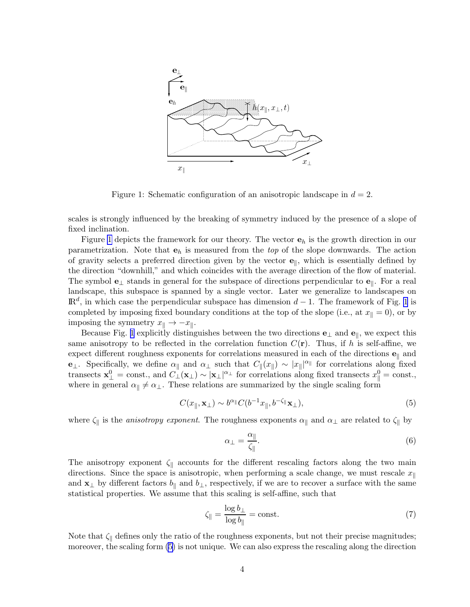<span id="page-4-0"></span>

Figure 1: Schematic configuration of an anisotropic landscape in  $d = 2$ .

scales is strongly influenced by the breaking of symmetry induced by the presence of a slope of fixed inclination.

Figure 1 depicts the framework for our theory. The vector  $e_h$  is the growth direction in our parametrization. Note that  $e_h$  is measured from the top of the slope downwards. The action of gravity selects a preferred direction given by the vector  $\mathbf{e}_{\parallel}$ , which is essentially defined by the direction "downhill," and which coincides with the average direction of the flow of material. The symbol  $\mathbf{e}_{\perp}$  stands in general for the subspace of directions perpendicular to  $\mathbf{e}_{\parallel}$ . For a real landscape, this subspace is spanned by a single vector. Later we generalize to landscapes on  $\mathbb{R}^d$ , in which case the perpendicular subspace has dimension  $d-1$ . The framework of Fig. 1 is completed by imposing fixed boundary conditions at the top of the slope (i.e., at  $x_{\parallel} = 0$ ), or by imposing the symmetry  $x_{\parallel} \rightarrow -x_{\parallel}$ .

Because Fig. 1 explicitly distinguishes between the two directions  $\mathbf{e}_{\perp}$  and  $\mathbf{e}_{\parallel}$ , we expect this same anisotropy to be reflected in the correlation function  $C(\mathbf{r})$ . Thus, if h is self-affine, we expect different roughness exponents for correlations measured in each of the directions  $\mathbf{e}_{\parallel}$  and  $\mathbf{e}_{\perp}$ . Specifically, we define  $\alpha_{\parallel}$  and  $\alpha_{\perp}$  such that  $C_{\parallel}(x_{\parallel}) \sim |x_{\parallel}|^{\alpha_{\parallel}}$  for correlations along fixed transects  $\mathbf{x}_{\perp}^0 = \text{const.}$ , and  $C_{\perp}(\mathbf{x}_{\perp}) \sim |\mathbf{x}_{\perp}|^{\alpha_{\perp}}$  for correlations along fixed transects  $x_{\parallel}^0 = \text{const.}$ where in general  $\alpha_{\parallel} \neq \alpha_{\perp}$ . These relations are summarized by the single scaling form

$$
C(x_{\parallel}, \mathbf{x}_{\perp}) \sim b^{\alpha_{\parallel}} C(b^{-1}x_{\parallel}, b^{-\zeta_{\parallel}} \mathbf{x}_{\perp}),
$$
\n<sup>(5)</sup>

where  $\zeta_{\parallel}$  is the *anisotropy exponent*. The roughness exponents  $\alpha_{\parallel}$  and  $\alpha_{\perp}$  are related to  $\zeta_{\parallel}$  by

$$
\alpha_{\perp} = \frac{\alpha_{\parallel}}{\zeta_{\parallel}}.\tag{6}
$$

The anisotropy exponent  $\zeta_{\parallel}$  accounts for the different rescaling factors along the two main directions. Since the space is anisotropic, when performing a scale change, we must rescale  $x_{\parallel}$ and  $\mathbf{x}_\perp$  by different factors  $b_{\parallel}$  and  $b_{\perp}$ , respectively, if we are to recover a surface with the same statistical properties. We assume that this scaling is self-affine, such that

$$
\zeta_{\parallel} = \frac{\log b_{\perp}}{\log b_{\parallel}} = \text{const.} \tag{7}
$$

Note that  $\zeta_{\parallel}$  defines only the ratio of the roughness exponents, but not their precise magnitudes; moreover, the scaling form (5) is not unique. We can also express the rescaling along the direction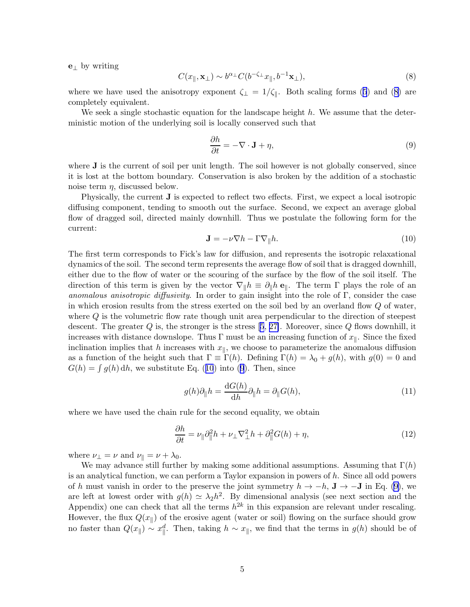<span id="page-5-0"></span> $\mathbf{e}_{\perp}$  by writing

$$
C(x_{\parallel}, \mathbf{x}_{\perp}) \sim b^{\alpha_{\perp}} C(b^{-\zeta_{\perp}} x_{\parallel}, b^{-1} \mathbf{x}_{\perp}),
$$
\n(8)

wherewe have used the anisotropy exponent  $\zeta_{\perp} = 1/\zeta_{\parallel}$ . Both scaling forms ([5](#page-4-0)) and (8) are completely equivalent.

We seek a single stochastic equation for the landscape height  $h$ . We assume that the deterministic motion of the underlying soil is locally conserved such that

$$
\frac{\partial h}{\partial t} = -\nabla \cdot \mathbf{J} + \eta,\tag{9}
$$

where  $J$  is the current of soil per unit length. The soil however is not globally conserved, since it is lost at the bottom boundary. Conservation is also broken by the addition of a stochastic noise term  $\eta$ , discussed below.

Physically, the current J is expected to reflect two effects. First, we expect a local isotropic diffusing component, tending to smooth out the surface. Second, we expect an average global flow of dragged soil, directed mainly downhill. Thus we postulate the following form for the current:

$$
\mathbf{J} = -\nu \nabla h - \Gamma \nabla_{\parallel} h. \tag{10}
$$

The first term corresponds to Fick's law for diffusion, and represents the isotropic relaxational dynamics of the soil. The second term represents the average flow of soil that is dragged downhill, either due to the flow of water or the scouring of the surface by the flow of the soil itself. The direction of this term is given by the vector  $\nabla_{\parallel} h \equiv \partial_{\parallel} h \mathbf{e}_{\parallel}$ . The term Γ plays the role of an anomalous anisotropic diffusivity. In order to gain insight into the role of  $\Gamma$ , consider the case in which erosion results from the stress exerted on the soil bed by an overland flow Q of water, where Q is the volumetric flow rate though unit area perpendicular to the direction of steepest descent.The greater  $Q$  is, the stronger is the stress [[5](#page-18-0), [27\]](#page-18-0). Moreover, since  $Q$  flows downhill, it increases with distance downslope. Thus  $\Gamma$  must be an increasing function of  $x_{\parallel}$ . Since the fixed inclination implies that h increases with  $x_{\parallel}$ , we choose to parameterize the anomalous diffusion as a function of the height such that  $\Gamma \equiv \Gamma(h)$ . Defining  $\Gamma(h) = \lambda_0 + g(h)$ , with  $g(0) = 0$  and  $G(h) = \int g(h) dh$ , we substitute Eq. (10) into (9). Then, since

$$
g(h)\partial_{\parallel}h = \frac{\mathrm{d}G(h)}{\mathrm{d}h}\partial_{\parallel}h = \partial_{\parallel}G(h),\tag{11}
$$

where we have used the chain rule for the second equality, we obtain

$$
\frac{\partial h}{\partial t} = \nu_{\parallel} \partial_{\parallel}^2 h + \nu_{\perp} \nabla_{\perp}^2 h + \partial_{\parallel}^2 G(h) + \eta,
$$
\n(12)

where  $\nu_{\perp} = \nu$  and  $\nu_{\parallel} = \nu + \lambda_0$ .

We may advance still further by making some additional assumptions. Assuming that  $\Gamma(h)$ is an analytical function, we can perform a Taylor expansion in powers of h. Since all odd powers of h must vanish in order to the preserve the joint symmetry  $h \to -h$ ,  $\mathbf{J} \to -\mathbf{J}$  in Eq. (9), we are left at lowest order with  $g(h) \simeq \lambda_2 h^2$ . By dimensional analysis (see next section and the Appendix) one can check that all the terms  $h^{2k}$  in this expansion are relevant under rescaling. However, the flux  $Q(x_{\parallel})$  of the erosive agent (water or soil) flowing on the surface should grow no faster than  $Q(x_{\parallel}) \sim x_{\parallel}^d$ . Then, taking  $h \sim x_{\parallel}$ , we find that the terms in  $g(h)$  should be of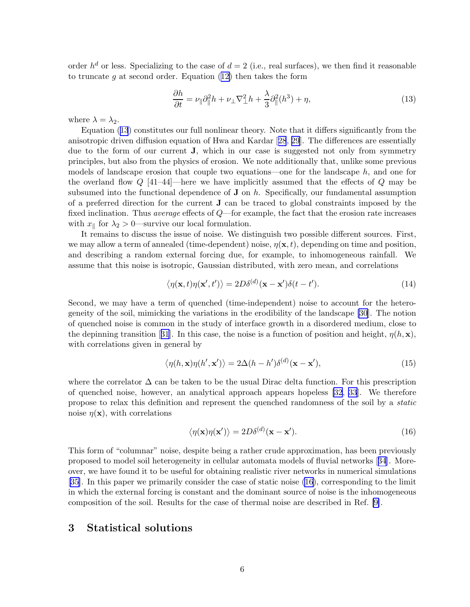<span id="page-6-0"></span>order  $h^d$  or less. Specializing to the case of  $d = 2$  (i.e., real surfaces), we then find it reasonable totruncate  $q$  at second order. Equation ([12\)](#page-5-0) then takes the form

$$
\frac{\partial h}{\partial t} = \nu_{\parallel} \partial_{\parallel}^2 h + \nu_{\perp} \nabla_{\perp}^2 h + \frac{\lambda}{3} \partial_{\parallel}^2 (h^3) + \eta,
$$
\n(13)

where  $\lambda = \lambda_2$ .

Equation (13) constitutes our full nonlinear theory. Note that it differs significantly from the anisotropic driven diffusion equation of Hwa and Kardar[[28](#page-18-0), [29](#page-18-0)]. The differences are essentially due to the form of our current  $J$ , which in our case is suggested not only from symmetry principles, but also from the physics of erosion. We note additionally that, unlike some previous models of landscape erosion that couple two equations—one for the landscape  $h$ , and one for the overland flow  $Q$  [41–44]—here we have implicitly assumed that the effects of  $Q$  may be subsumed into the functional dependence of  $J$  on  $h$ . Specifically, our fundamental assumption of a preferred direction for the current J can be traced to global constraints imposed by the fixed inclination. Thus *average* effects of Q—for example, the fact that the erosion rate increases with  $x_{\parallel}$  for  $\lambda_2 > 0$ —survive our local formulation.

It remains to discuss the issue of noise. We distinguish two possible different sources. First, we may allow a term of annealed (time-dependent) noise,  $\eta(\mathbf{x}, t)$ , depending on time and position, and describing a random external forcing due, for example, to inhomogeneous rainfall. We assume that this noise is isotropic, Gaussian distributed, with zero mean, and correlations

$$
\langle \eta(\mathbf{x},t)\eta(\mathbf{x}',t')\rangle = 2D\delta^{(d)}(\mathbf{x}-\mathbf{x}')\delta(t-t').
$$
\n(14)

Second, we may have a term of quenched (time-independent) noise to account for the heterogeneity of the soil, mimicking the variations in the erodibility of the landscape [\[30](#page-18-0)]. The notion of quenched noise is common in the study of interface growth in a disordered medium, close to thedepinning transition [[31](#page-18-0)]. In this case, the noise is a function of position and height,  $\eta(h, \mathbf{x})$ , with correlations given in general by

$$
\langle \eta(h, \mathbf{x})\eta(h', \mathbf{x}') \rangle = 2\Delta(h - h')\delta^{(d)}(\mathbf{x} - \mathbf{x}'),\tag{15}
$$

where the correlator  $\Delta$  can be taken to be the usual Dirac delta function. For this prescription of quenched noise, however, an analytical approach appears hopeless [\[32](#page-18-0), [33](#page-19-0)]. We therefore propose to relax this definition and represent the quenched randomness of the soil by a static noise  $\eta(\mathbf{x})$ , with correlations

$$
\langle \eta(\mathbf{x})\eta(\mathbf{x}') \rangle = 2D\delta^{(d)}(\mathbf{x} - \mathbf{x}'). \tag{16}
$$

This form of "columnar" noise, despite being a rather crude approximation, has been previously proposed to model soil heterogeneity in cellular automata models of fluvial networks[[34](#page-19-0)]. Moreover, we have found it to be useful for obtaining realistic river networks in numerical simulations [[35\]](#page-19-0). In this paper we primarily consider the case of static noise (16), corresponding to the limit in which the external forcing is constant and the dominant source of noise is the inhomogeneous composition of the soil. Results for the case of thermal noise are described in Ref. [\[9\]](#page-18-0).

# 3 Statistical solutions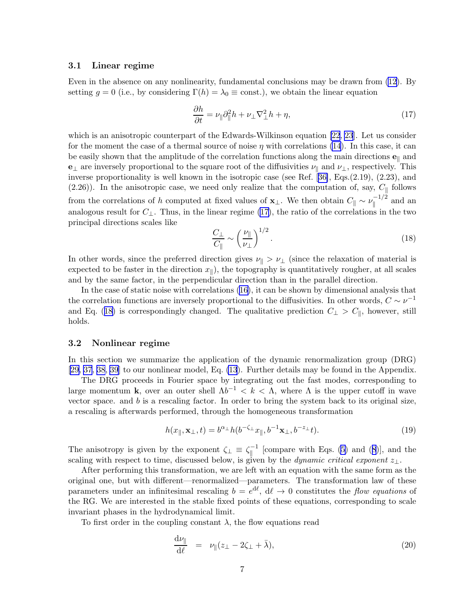#### <span id="page-7-0"></span>3.1 Linear regime

Even in the absence on any nonlinearity, fundamental conclusions may be drawn from [\(12\)](#page-5-0). By setting  $g = 0$  (i.e., by considering  $\Gamma(h) = \lambda_0 \equiv \text{const.}$ ), we obtain the linear equation

$$
\frac{\partial h}{\partial t} = \nu_{\parallel} \partial_{\parallel}^2 h + \nu_{\perp} \nabla_{\perp}^2 h + \eta,\tag{17}
$$

which is an anisotropic counterpart of the Edwards-Wilkinson equation [\[22](#page-18-0), [23](#page-18-0)]. Let us consider for the moment the case of a thermal source of noise  $\eta$  with correlations [\(14](#page-6-0)). In this case, it can be easily shown that the amplitude of the correlation functions along the main directions  $e_{\parallel}$  and  $e_{\perp}$  are inversely proportional to the square root of the diffusivities  $\nu_{\parallel}$  and  $\nu_{\perp}$ , respectively. This inverse proportionality is well known in the isotropic case (see Ref.[[36\]](#page-19-0), Eqs.(2.19), (2.23), and (2.26)). In the anisotropic case, we need only realize that the computation of, say,  $C_{\parallel}$  follows from the correlations of h computed at fixed values of  $\mathbf{x}_\perp$ . We then obtain  $C_\parallel \sim \nu_\parallel^{-1/2}$  $\int_{\parallel}^{-1/2}$  and an analogous result for  $C_{\perp}$ . Thus, in the linear regime (17), the ratio of the correlations in the two principal directions scales like  $1/2$ 

$$
\frac{C_{\perp}}{C_{\parallel}} \sim \left(\frac{\nu_{\parallel}}{\nu_{\perp}}\right)^{1/2}.\tag{18}
$$

In other words, since the preferred direction gives  $\nu_{\parallel} > \nu_{\perp}$  (since the relaxation of material is expected to be faster in the direction  $x_{\parallel}$ ), the topography is quantitatively rougher, at all scales and by the same factor, in the perpendicular direction than in the parallel direction.

In the case of static noise with correlations [\(16\)](#page-6-0), it can be shown by dimensional analysis that the correlation functions are inversely proportional to the diffusivities. In other words,  $C \sim \nu^{-1}$ and Eq. (18) is correspondingly changed. The qualitative prediction  $C_{\perp} > C_{\parallel}$ , however, still holds.

#### 3.2 Nonlinear regime

In this section we summarize the application of the dynamic renormalization group (DRG) [[29,](#page-18-0) [37, 38](#page-19-0), [39](#page-19-0)] to our nonlinear model, Eq. [\(13](#page-6-0)). Further details may be found in the Appendix.

The DRG proceeds in Fourier space by integrating out the fast modes, corresponding to large momentum **k**, over an outer shell  $\Lambda b^{-1} < k < \Lambda$ , where  $\Lambda$  is the upper cutoff in wave vector space. and  $b$  is a rescaling factor. In order to bring the system back to its original size, a rescaling is afterwards performed, through the homogeneous transformation

$$
h(x_{\parallel}, \mathbf{x}_{\perp}, t) = b^{\alpha_{\perp}} h(b^{-\zeta_{\perp}} x_{\parallel}, b^{-1} \mathbf{x}_{\perp}, b^{-z_{\perp}} t). \tag{19}
$$

The anisotropy is given by the exponent  $\zeta_{\perp} \equiv \zeta_{\parallel}^{-1}$  $\int_{\parallel}^{-1}$  [compare with Eqs. [\(5\)](#page-4-0)and ([8](#page-5-0))], and the scaling with respect to time, discussed below, is given by the *dynamic critical exponent*  $z_{\perp}$ .

After performing this transformation, we are left with an equation with the same form as the original one, but with different—renormalized—parameters. The transformation law of these parameters under an infinitesimal rescaling  $b = e^{d\ell}$ ,  $d\ell \to 0$  constitutes the flow equations of the RG. We are interested in the stable fixed points of these equations, corresponding to scale invariant phases in the hydrodynamical limit.

To first order in the coupling constant  $\lambda$ , the flow equations read

$$
\frac{\mathrm{d}\nu_{\parallel}}{\mathrm{d}\ell} = \nu_{\parallel}(z_{\perp} - 2\zeta_{\perp} + \bar{\lambda}),\tag{20}
$$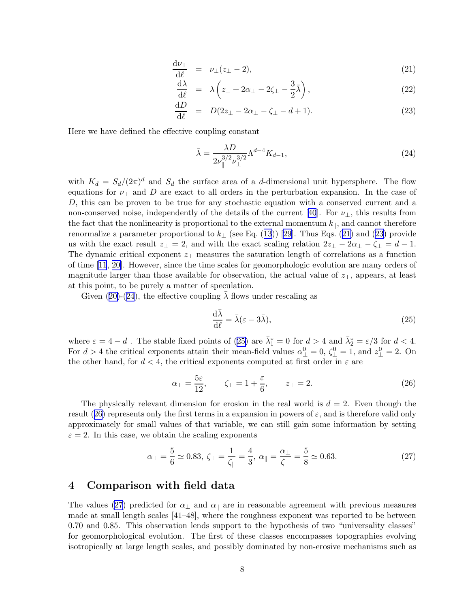$$
\frac{\mathrm{d}\nu_{\perp}}{\mathrm{d}\ell} = \nu_{\perp}(z_{\perp} - 2),\tag{21}
$$

$$
\frac{\mathrm{d}\lambda}{\mathrm{d}\ell} = \lambda \left( z_{\perp} + 2\alpha_{\perp} - 2\zeta_{\perp} - \frac{3}{2}\bar{\lambda} \right),\tag{22}
$$

$$
\frac{\mathrm{d}D}{\mathrm{d}\ell} = D(2z_{\perp} - 2\alpha_{\perp} - \zeta_{\perp} - d + 1). \tag{23}
$$

<span id="page-8-0"></span>Here we have defined the effective coupling constant

$$
\bar{\lambda} = \frac{\lambda D}{2\nu_{\parallel}^{3/2} \nu_{\perp}^{3/2}} \Lambda^{d-4} K_{d-1},\tag{24}
$$

with  $K_d = S_d/(2\pi)^d$  and  $S_d$  the surface area of a d-dimensional unit hypersphere. The flow equations for  $\nu_{\perp}$  and D are exact to all orders in the perturbation expansion. In the case of D, this can be proven to be true for any stochastic equation with a conserved current and a non-conservednoise, independently of the details of the current [[40](#page-19-0)]. For  $\nu_{\perp}$ , this results from the fact that the nonlinearity is proportional to the external momentum  $k_{\parallel}$ , and cannot therefore renormalizea parameter proportional to  $k_{\perp}$  (see Eq. ([13](#page-6-0))) [\[29](#page-18-0)]. Thus Eqs. ([21\)](#page-7-0) and [\(23\)](#page-7-0) provide us with the exact result  $z_{\perp} = 2$ , and with the exact scaling relation  $2z_{\perp} - 2\alpha_{\perp} - \zeta_{\perp} = d - 1$ . The dynamic critical exponent  $z_{\perp}$  measures the saturation length of correlations as a function of time[[11](#page-18-0), [20\]](#page-18-0). However, since the time scales for geomorphologic evolution are many orders of magnitude larger than those available for observation, the actual value of  $z_{\perp}$ , appears, at least at this point, to be purely a matter of speculation.

Given([20\)](#page-7-0)-(24), the effective coupling  $\lambda$  flows under rescaling as

$$
\frac{\mathrm{d}\bar{\lambda}}{\mathrm{d}\ell} = \bar{\lambda}(\varepsilon - 3\bar{\lambda}),\tag{25}
$$

where  $\varepsilon = 4 - d$ . The stable fixed points of (25) are  $\bar{\lambda}_1^* = 0$  for  $d > 4$  and  $\bar{\lambda}_2^* = \varepsilon/3$  for  $d < 4$ . For  $d > 4$  the critical exponents attain their mean-field values  $\alpha_{\perp}^0 = 0$ ,  $\zeta_{\perp}^0 = 1$ , and  $z_{\perp}^0 = 2$ . On the other hand, for  $d < 4$ , the critical exponents computed at first order in  $\varepsilon$  are

$$
\alpha_{\perp} = \frac{5\varepsilon}{12}, \qquad \zeta_{\perp} = 1 + \frac{\varepsilon}{6}, \qquad z_{\perp} = 2. \tag{26}
$$

The physically relevant dimension for erosion in the real world is  $d = 2$ . Even though the result (26) represents only the first terms in a expansion in powers of  $\varepsilon$ , and is therefore valid only approximately for small values of that variable, we can still gain some information by setting  $\varepsilon = 2$ . In this case, we obtain the scaling exponents

$$
\alpha_{\perp} = \frac{5}{6} \simeq 0.83, \ \zeta_{\perp} = \frac{1}{\zeta_{\parallel}} = \frac{4}{3}, \ \alpha_{\parallel} = \frac{\alpha_{\perp}}{\zeta_{\perp}} = \frac{5}{8} \simeq 0.63. \tag{27}
$$

### 4 Comparison with field data

The values (27) predicted for  $\alpha_{\perp}$  and  $\alpha_{\parallel}$  are in reasonable agreement with previous measures made at small length scales [41–48], where the roughness exponent was reported to be between 0.70 and 0.85. This observation lends support to the hypothesis of two "universality classes" for geomorphological evolution. The first of these classes encompasses topographies evolving isotropically at large length scales, and possibly dominated by non-erosive mechanisms such as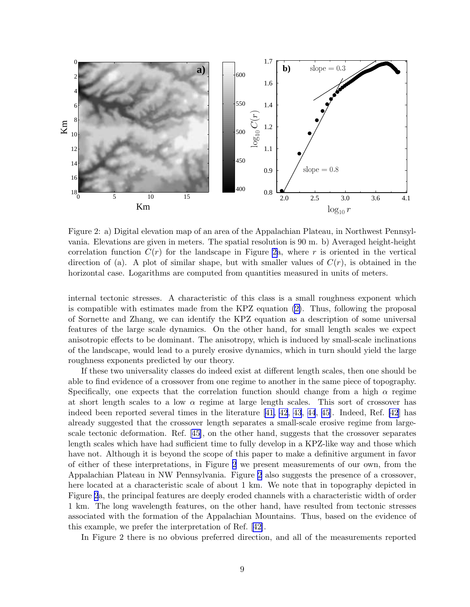

Figure 2: a) Digital elevation map of an area of the Appalachian Plateau, in Northwest Pennsylvania. Elevations are given in meters. The spatial resolution is 90 m. b) Averaged height-height correlation function  $C(r)$  for the landscape in Figure 2a, where r is oriented in the vertical direction of (a). A plot of similar shape, but with smaller values of  $C(r)$ , is obtained in the horizontal case. Logarithms are computed from quantities measured in units of meters.

internal tectonic stresses. A characteristic of this class is a small roughness exponent which is compatible with estimates made from the KPZ equation [\(2\)](#page-2-0). Thus, following the proposal of Sornette and Zhang, we can identify the KPZ equation as a description of some universal features of the large scale dynamics. On the other hand, for small length scales we expect anisotropic effects to be dominant. The anisotropy, which is induced by small-scale inclinations of the landscape, would lead to a purely erosive dynamics, which in turn should yield the large roughness exponents predicted by our theory.

If these two universality classes do indeed exist at different length scales, then one should be able to find evidence of a crossover from one regime to another in the same piece of topography. Specifically, one expects that the correlation function should change from a high  $\alpha$  regime at short length scales to a low  $\alpha$  regime at large length scales. This sort of crossover has indeed been reported several times in the literature[[41, 42](#page-19-0), [43](#page-19-0), [44](#page-19-0), [45\]](#page-19-0). Indeed, Ref. [\[42](#page-19-0)] has already suggested that the crossover length separates a small-scale erosive regime from largescale tectonic deformation. Ref.[[45\]](#page-19-0), on the other hand, suggests that the crossover separates length scales which have had sufficient time to fully develop in a KPZ-like way and those which have not. Although it is beyond the scope of this paper to make a definitive argument in favor of either of these interpretations, in Figure 2 we present measurements of our own, from the Appalachian Plateau in NW Pennsylvania. Figure 2 also suggests the presence of a crossover, here located at a characteristic scale of about 1 km. We note that in topography depicted in Figure 2a, the principal features are deeply eroded channels with a characteristic width of order 1 km. The long wavelength features, on the other hand, have resulted from tectonic stresses associated with the formation of the Appalachian Mountains. Thus, based on the evidence of this example, we prefer the interpretation of Ref.[[42\]](#page-19-0).

In Figure 2 there is no obvious preferred direction, and all of the measurements reported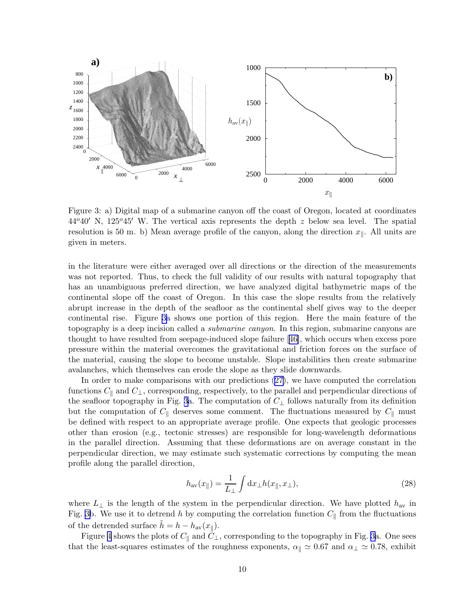<span id="page-10-0"></span>

Figure 3: a) Digital map of a submarine canyon off the coast of Oregon, located at coordinates  $44^{\circ}40'$  N,  $125^{\circ}45'$  W. The vertical axis represents the depth z below sea level. The spatial resolution is 50 m. b) Mean average profile of the canyon, along the direction  $x_{\parallel}$ . All units are given in meters.

in the literature were either averaged over all directions or the direction of the measurements was not reported. Thus, to check the full validity of our results with natural topography that has an unambiguous preferred direction, we have analyzed digital bathymetric maps of the continental slope off the coast of Oregon. In this case the slope results from the relatively abrupt increase in the depth of the seafloor as the continental shelf gives way to the deeper continental rise. Figure 3a shows one portion of this region. Here the main feature of the topography is a deep incision called a submarine canyon. In this region, submarine canyons are thought to have resulted from seepage-induced slope failure[[46\]](#page-19-0), which occurs when excess pore pressure within the material overcomes the gravitational and friction forces on the surface of the material, causing the slope to become unstable. Slope instabilities then create submarine avalanches, which themselves can erode the slope as they slide downwards.

In order to make comparisons with our predictions [\(27\)](#page-8-0), we have computed the correlation functions  $C_{\parallel}$  and  $C_{\perp}$ , corresponding, respectively, to the parallel and perpendicular directions of the seafloor topography in Fig. 3a. The computation of  $C_{\perp}$  follows naturally from its definition but the computation of  $C_{\parallel}$  deserves some comment. The fluctuations measured by  $C_{\parallel}$  must be defined with respect to an appropriate average profile. One expects that geologic processes other than erosion (e.g., tectonic stresses) are responsible for long-wavelength deformations in the parallel direction. Assuming that these deformations are on average constant in the perpendicular direction, we may estimate such systematic corrections by computing the mean profile along the parallel direction,

$$
h_{\text{av}}(x_{\parallel}) = \frac{1}{L_{\perp}} \int \mathrm{d}x_{\perp} h(x_{\parallel}, x_{\perp}), \tag{28}
$$

where  $L_{\perp}$  is the length of the system in the perpendicular direction. We have plotted  $h_{\text{av}}$  in Fig. 3b. We use it to detrend h by computing the correlation function  $C_{\parallel}$  from the fluctuations of the detrended surface  $\tilde{h} = h - h_{av}(x_{\parallel}).$ 

Figure [4](#page-11-0) shows the plots of  $C_{\parallel}$  and  $\ddot{C}_{\perp}$ , corresponding to the topography in Fig. 3a. One sees that the least-squares estimates of the roughness exponents,  $\alpha_{\parallel} \simeq 0.67$  and  $\alpha_{\perp} \simeq 0.78$ , exhibit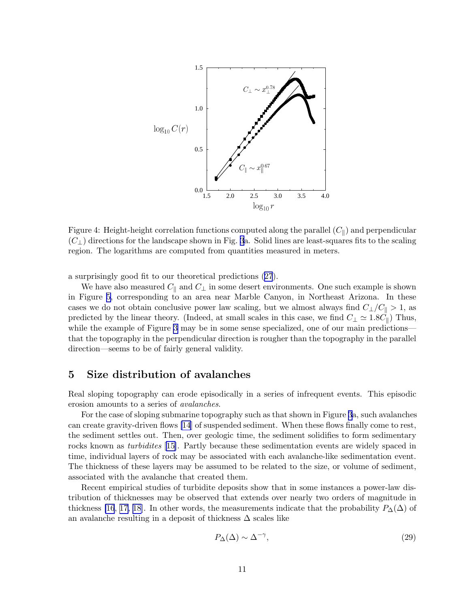<span id="page-11-0"></span>

Figure 4: Height-height correlation functions computed along the parallel  $(C_{\parallel})$  and perpendicular  $(C<sub>⊥</sub>)$  directions for the landscape shown in Fig. [3](#page-10-0)a. Solid lines are least-squares fits to the scaling region. The logarithms are computed from quantities measured in meters.

a surprisingly good fit to our theoretical predictions([27](#page-8-0)).

We have also measured  $C_{\parallel}$  and  $C_{\perp}$  in some desert environments. One such example is shown in Figure [5](#page-12-0), corresponding to an area near Marble Canyon, in Northeast Arizona. In these cases we do not obtain conclusive power law scaling, but we almost always find  $C_{\perp}/C_{\parallel} > 1$ , as predicted by the linear theory. (Indeed, at small scales in this case, we find  $C_{\perp} \simeq 1.8 C_{\parallel}$ ) Thus, while the example of Figure [3](#page-10-0) may be in some sense specialized, one of our main predictions that the topography in the perpendicular direction is rougher than the topography in the parallel direction—seems to be of fairly general validity.

# 5 Size distribution of avalanches

Real sloping topography can erode episodically in a series of infrequent events. This episodic erosion amounts to a series of avalanches.

For the case of sloping submarine topography such as that shown in Figure [3](#page-10-0)a, such avalanches can create gravity-driven flows [\[14](#page-18-0)] of suspended sediment. When these flows finally come to rest, the sediment settles out. Then, over geologic time, the sediment solidifies to form sedimentary rocks known as turbidites [[15\]](#page-18-0). Partly because these sedimentation events are widely spaced in time, individual layers of rock may be associated with each avalanche-like sedimentation event. The thickness of these layers may be assumed to be related to the size, or volume of sediment, associated with the avalanche that created them.

Recent empirical studies of turbidite deposits show that in some instances a power-law distribution of thicknesses may be observed that extends over nearly two orders of magnitude in thickness [\[16](#page-18-0), [17, 18](#page-18-0)]. In other words, the measurements indicate that the probability  $P_{\Delta}(\Delta)$  of an avalanche resulting in a deposit of thickness  $\Delta$  scales like

$$
P_{\Delta}(\Delta) \sim \Delta^{-\gamma},\tag{29}
$$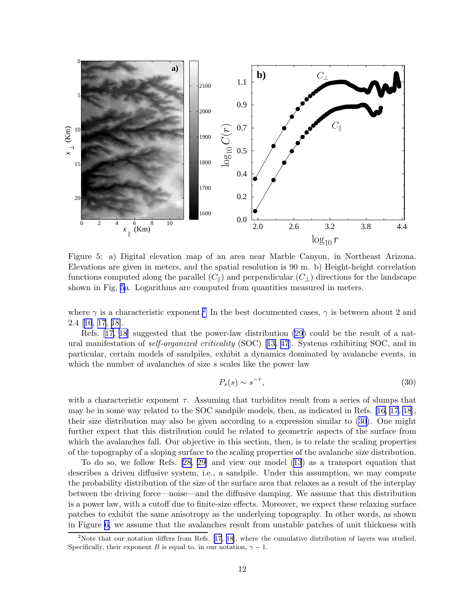<span id="page-12-0"></span>

Figure 5: a) Digital elevation map of an area near Marble Canyon, in Northeast Arizona. Elevations are given in meters, and the spatial resolution is 90 m. b) Height-height correlation functions computed along the parallel  $(C_{\parallel})$  and perpendicular  $(C_{\perp})$  directions for the landscape shown in Fig. 5a. Logarithms are computed from quantities measured in meters.

where  $\gamma$  is a characteristic exponent.<sup>2</sup> In the best documented cases,  $\gamma$  is between about 2 and 2.4[[16](#page-18-0), [17, 18\]](#page-18-0).

Refs.[[17, 18](#page-18-0)] suggested that the power-law distribution [\(29](#page-11-0)) could be the result of a natural manifestation of self-organized criticality (SOC)[[13,](#page-18-0) [47](#page-19-0)]. Systems exhibiting SOC, and in particular, certain models of sandpiles, exhibit a dynamics dominated by avalanche events, in which the number of avalanches of size s scales like the power law

$$
P_s(s) \sim s^{-\tau},\tag{30}
$$

with a characteristic exponent  $\tau$ . Assuming that turbidites result from a series of slumps that may be in some way related to the SOC sandpile models, then, as indicated in Refs. [\[16](#page-18-0), [17](#page-18-0), [18](#page-18-0)], their size distribution may also be given according to a expression similar to (30). One might further expect that this distribution could be related to geometric aspects of the surface from which the avalanches fall. Our objective in this section, then, is to relate the scaling properties of the topography of a sloping surface to the scaling properties of the avalanche size distribution.

To do so, we follow Refs. [\[28](#page-18-0), [29\]](#page-18-0) and view our model([13](#page-6-0)) as a transport equation that describes a driven diffusive system, i.e., a sandpile. Under this assumption, we may compute the probability distribution of the size of the surface area that relaxes as a result of the interplay between the driving force—noise—and the diffusive damping. We assume that this distribution is a power law, with a cutoff due to finite-size effects. Moreover, we expect these relaxing surface patches to exhibit the same anisotropy as the underlying topography. In other words, as shown in Figure [6,](#page-13-0) we assume that the avalanches result from unstable patches of unit thickness with

<sup>&</sup>lt;sup>2</sup>Notethat our notation differs from Refs. [[17, 18](#page-18-0)], where the cumulative distribution of layers was studied. Specifically, their exponent B is equal to, in our notation,  $\gamma - 1$ .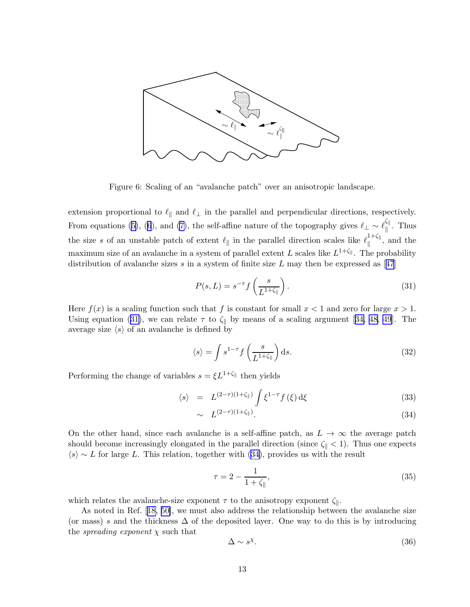<span id="page-13-0"></span>

Figure 6: Scaling of an "avalanche patch" over an anisotropic landscape.

extension proportional to  $\ell_{\parallel}$  and  $\ell_{\perp}$  in the parallel and perpendicular directions, respectively. From equations [\(5\)](#page-4-0), [\(6](#page-4-0)), and [\(7\)](#page-4-0), the self-affine nature of the topography gives  $\ell_{\perp} \sim \ell_{\parallel}^{\zeta_{\parallel}}$  $\int_{\parallel}^{\mathsf{s}_{\parallel}}$ . Thus the size s of an unstable patch of extent  $\ell_{\parallel}$  in the parallel direction scales like  $\ell_{\parallel}^{1+\zeta_{\parallel}}$  $\int_{\parallel}^{1+\varsigma_{\parallel}}$ , and the maximum size of an avalanche in a system of parallel extent L scales like  $L^{1+\zeta_{\parallel}}$ . The probability distributionof avalanche sizes  $s$  in a system of finite size  $L$  may then be expressed as [[47](#page-19-0)]

$$
P(s,L) = s^{-\tau} f\left(\frac{s}{L^{1+\zeta_{\parallel}}}\right). \tag{31}
$$

Here  $f(x)$  is a scaling function such that f is constant for small  $x < 1$  and zero for large  $x > 1$ . Usingequation (31), we can relate  $\tau$  to  $\zeta_{\parallel}$  by means of a scaling argument [[34, 48, 49](#page-19-0)]. The average size  $\langle s \rangle$  of an avalanche is defined by

$$
\langle s \rangle = \int s^{1-\tau} f\left(\frac{s}{L^{1+\zeta_{\parallel}}}\right) \mathrm{d}s. \tag{32}
$$

Performing the change of variables  $s = \xi L^{1+\zeta_{\parallel}}$  then yields

$$
\langle s \rangle = L^{(2-\tau)(1+\zeta_{\parallel})} \int \xi^{1-\tau} f(\xi) d\xi \tag{33}
$$

$$
\sim L^{(2-\tau)(1+\zeta_{\parallel})}.\tag{34}
$$

On the other hand, since each avalanche is a self-affine patch, as  $L \to \infty$  the average patch should become increasingly elongated in the parallel direction (since  $\zeta_{\parallel}$  < 1). Thus one expects  $\langle s \rangle \sim L$  for large L. This relation, together with (34), provides us with the result

$$
\tau = 2 - \frac{1}{1 + \zeta_{\parallel}},\tag{35}
$$

which relates the avalanche-size exponent  $\tau$  to the anisotropy exponent  $\zeta_{\parallel}$ .

As noted in Ref.[[18,](#page-18-0) [50\]](#page-19-0), we must also address the relationship between the avalanche size (or mass) s and the thickness  $\Delta$  of the deposited layer. One way to do this is by introducing the *spreading exponent*  $\chi$  such that

$$
\Delta \sim s^{\chi}.\tag{36}
$$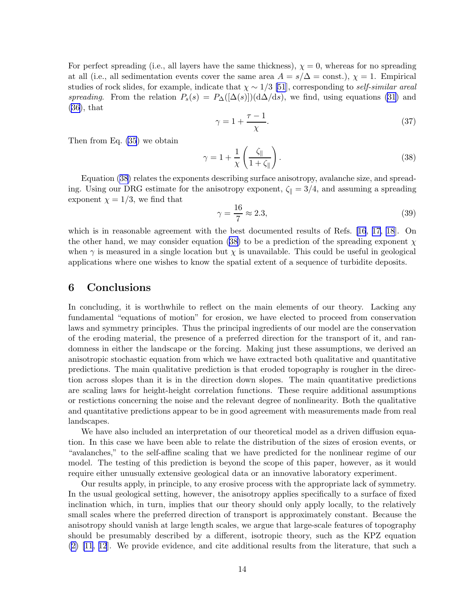For perfect spreading (i.e., all layers have the same thickness),  $\chi = 0$ , whereas for no spreading at all (i.e., all sedimentation events cover the same area  $A = s/\Delta = \text{const.}$ ),  $\chi = 1$ . Empirical studies of rock slides, for example, indicate that  $\chi \sim 1/3$  [\[51](#page-19-0)], corresponding to *self-similar areal* spreading. From the relation  $P_s(s) = P_\Delta([\Delta(s)])(d\Delta/ds)$ , we find, using equations [\(31\)](#page-13-0) and [\(36\)](#page-13-0), that

$$
\gamma = 1 + \frac{\tau - 1}{\chi}.\tag{37}
$$

Then from Eq. [\(35](#page-13-0)) we obtain

$$
\gamma = 1 + \frac{1}{\chi} \left( \frac{\zeta_{\parallel}}{1 + \zeta_{\parallel}} \right). \tag{38}
$$

Equation (38) relates the exponents describing surface anisotropy, avalanche size, and spreading. Using our DRG estimate for the anisotropy exponent,  $\zeta_{\parallel} = 3/4$ , and assuming a spreading exponent  $\chi = 1/3$ , we find that

$$
\gamma = \frac{16}{7} \approx 2.3,\tag{39}
$$

which is in reasonable agreement with the best documented results of Refs. [\[16](#page-18-0), [17, 18](#page-18-0)]. On the other hand, we may consider equation (38) to be a prediction of the spreading exponent  $\chi$ when  $\gamma$  is measured in a single location but  $\chi$  is unavailable. This could be useful in geological applications where one wishes to know the spatial extent of a sequence of turbidite deposits.

## 6 Conclusions

In concluding, it is worthwhile to reflect on the main elements of our theory. Lacking any fundamental "equations of motion" for erosion, we have elected to proceed from conservation laws and symmetry principles. Thus the principal ingredients of our model are the conservation of the eroding material, the presence of a preferred direction for the transport of it, and randomness in either the landscape or the forcing. Making just these assumptions, we derived an anisotropic stochastic equation from which we have extracted both qualitative and quantitative predictions. The main qualitative prediction is that eroded topography is rougher in the direction across slopes than it is in the direction down slopes. The main quantitative predictions are scaling laws for height-height correlation functions. These require additional assumptions or restictions concerning the noise and the relevant degree of nonlinearity. Both the qualitative and quantitative predictions appear to be in good agreement with measurements made from real landscapes.

We have also included an interpretation of our theoretical model as a driven diffusion equation. In this case we have been able to relate the distribution of the sizes of erosion events, or "avalanches," to the self-affine scaling that we have predicted for the nonlinear regime of our model. The testing of this prediction is beyond the scope of this paper, however, as it would require either unusually extensive geological data or an innovative laboratory experiment.

Our results apply, in principle, to any erosive process with the appropriate lack of symmetry. In the usual geological setting, however, the anisotropy applies specifically to a surface of fixed inclination which, in turn, implies that our theory should only apply locally, to the relatively small scales where the preferred direction of transport is approximately constant. Because the anisotropy should vanish at large length scales, we argue that large-scale features of topography should be presumably described by a different, isotropic theory, such as the KPZ equation [\(2\)](#page-2-0) [\[11](#page-18-0), [12](#page-18-0)]. We provide evidence, and cite additional results from the literature, that such a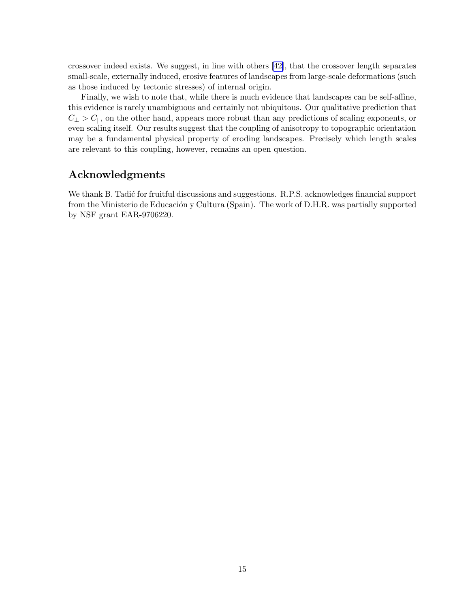crossover indeed exists. We suggest, in line with others[[42\]](#page-19-0), that the crossover length separates small-scale, externally induced, erosive features of landscapes from large-scale deformations (such as those induced by tectonic stresses) of internal origin.

Finally, we wish to note that, while there is much evidence that landscapes can be self-affine, this evidence is rarely unambiguous and certainly not ubiquitous. Our qualitative prediction that  $C_{\perp} > C_{\parallel}$ , on the other hand, appears more robust than any predictions of scaling exponents, or even scaling itself. Our results suggest that the coupling of anisotropy to topographic orientation may be a fundamental physical property of eroding landscapes. Precisely which length scales are relevant to this coupling, however, remains an open question.

# Acknowledgments

We thank B. Tadić for fruitful discussions and suggestions. R.P.S. acknowledges financial support from the Ministerio de Educación y Cultura (Spain). The work of D.H.R. was partially supported by NSF grant EAR-9706220.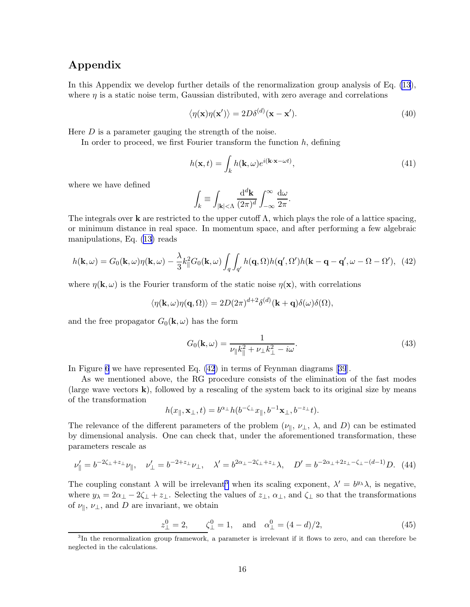# <span id="page-16-0"></span>Appendix

In this Appendix we develop further details of the renormalization group analysis of Eq. [\(13](#page-6-0)), where  $\eta$  is a static noise term, Gaussian distributed, with zero average and correlations

$$
\langle \eta(\mathbf{x})\eta(\mathbf{x}') \rangle = 2D\delta^{(d)}(\mathbf{x} - \mathbf{x}'). \tag{40}
$$

Here  $D$  is a parameter gauging the strength of the noise.

In order to proceed, we first Fourier transform the function  $h$ , defining

$$
h(\mathbf{x},t) = \int_{k} h(\mathbf{k},\omega) e^{i(\mathbf{k}\cdot\mathbf{x}-\omega t)},
$$
\n(41)

where we have defined

$$
\int_k \equiv \int_{|{\bf k}|<\Lambda} \frac{\mathrm{d}^d{\bf k}}{(2\pi)^d} \int_{-\infty}^\infty \frac{\mathrm{d}\omega}{2\pi}.
$$

The integrals over **k** are restricted to the upper cutoff  $\Lambda$ , which plays the role of a lattice spacing, or minimum distance in real space. In momentum space, and after performing a few algebraic manipulations, Eq.([13\)](#page-6-0) reads

$$
h(\mathbf{k},\omega) = G_0(\mathbf{k},\omega)\eta(\mathbf{k},\omega) - \frac{\lambda}{3}k_{\parallel}^2 G_0(\mathbf{k},\omega) \int_q \int_{q'} h(\mathbf{q},\Omega)h(\mathbf{q}',\Omega')h(\mathbf{k}-\mathbf{q}-\mathbf{q}',\omega-\Omega-\Omega'), \tag{42}
$$

where  $\eta(\mathbf{k}, \omega)$  is the Fourier transform of the static noise  $\eta(\mathbf{x})$ , with correlations

$$
\langle \eta(\mathbf{k}, \omega) \eta(\mathbf{q}, \Omega) \rangle = 2D(2\pi)^{d+2} \delta^{(d)}(\mathbf{k} + \mathbf{q}) \delta(\omega) \delta(\Omega),
$$

and the free propagator  $G_0(\mathbf{k}, \omega)$  has the form

$$
G_0(\mathbf{k}, \omega) = \frac{1}{\nu_{\parallel} k_{\parallel}^2 + \nu_{\perp} k_{\perp}^2 - i\omega}.
$$
\n(43)

In Figure 6 we have represented Eq. (42) in terms of Feynman diagrams[[39](#page-19-0)].

As we mentioned above, the RG procedure consists of the elimination of the fast modes (large wave vectors  $\bf{k}$ ), followed by a rescaling of the system back to its original size by means of the transformation

$$
h(x_{\parallel}, \mathbf{x}_{\perp}, t) = b^{\alpha_{\perp}} h(b^{-\zeta_{\perp}} x_{\parallel}, b^{-1} \mathbf{x}_{\perp}, b^{-z_{\perp}} t).
$$

The relevance of the different parameters of the problem  $(\nu_{\parallel}, \nu_{\perp}, \lambda, \text{ and } D)$  can be estimated by dimensional analysis. One can check that, under the aforementioned transformation, these parameters rescale as

$$
\nu'_{\parallel} = b^{-2\zeta_{\perp} + z_{\perp}} \nu_{\parallel}, \quad \nu'_{\perp} = b^{-2+z_{\perp}} \nu_{\perp}, \quad \lambda' = b^{2\alpha_{\perp} - 2\zeta_{\perp} + z_{\perp}} \lambda, \quad D' = b^{-2\alpha_{\perp} + 2z_{\perp} - \zeta_{\perp} - (d-1)} D. \tag{44}
$$

The coupling constant  $\lambda$  will be irrelevant<sup>3</sup> when its scaling exponent,  $\lambda' = b^{y_\lambda} \lambda$ , is negative, where  $y_{\lambda} = 2\alpha_{\perp} - 2\zeta_{\perp} + z_{\perp}$ . Selecting the values of  $z_{\perp}$ ,  $\alpha_{\perp}$ , and  $\zeta_{\perp}$  so that the transformations of  $\nu_{\parallel}, \nu_{\perp}$ , and D are invariant, we obtain

$$
z_{\perp}^{0} = 2
$$
,  $\zeta_{\perp}^{0} = 1$ , and  $\alpha_{\perp}^{0} = (4 - d)/2$ , (45)

<sup>&</sup>lt;sup>3</sup>In the renormalization group framework, a parameter is irrelevant if it flows to zero, and can therefore be neglected in the calculations.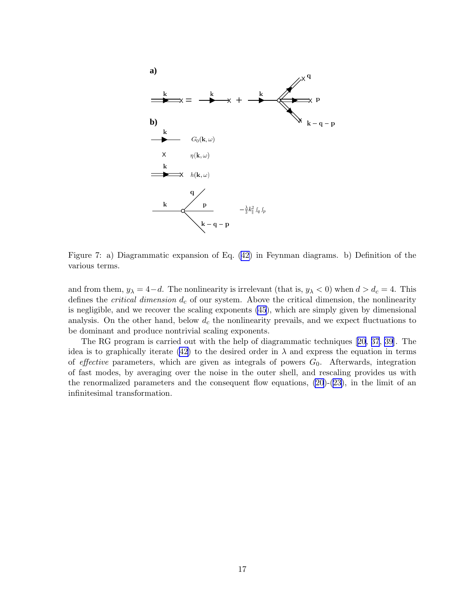

Figure 7: a) Diagrammatic expansion of Eq. [\(42\)](#page-16-0) in Feynman diagrams. b) Definition of the various terms.

and from them,  $y_{\lambda} = 4 - d$ . The nonlinearity is irrelevant (that is,  $y_{\lambda} < 0$ ) when  $d > d_c = 4$ . This defines the *critical dimension*  $d_c$  of our system. Above the critical dimension, the nonlinearity is negligible, and we recover the scaling exponents [\(45](#page-16-0)), which are simply given by dimensional analysis. On the other hand, below  $d_c$  the nonlinearity prevails, and we expect fluctuations to be dominant and produce nontrivial scaling exponents.

The RG program is carried out with the help of diagrammatic techniques[[20,](#page-18-0) [37](#page-19-0), [39](#page-19-0)]. The idea is to graphically iterate [\(42\)](#page-16-0) to the desired order in  $\lambda$  and express the equation in terms of effective parameters, which are given as integrals of powers  $G_0$ . Afterwards, integration of fast modes, by averaging over the noise in the outer shell, and rescaling provides us with the renormalized parameters and the consequent flow equations,  $(20)-(23)$  $(20)-(23)$ , in the limit of an infinitesimal transformation.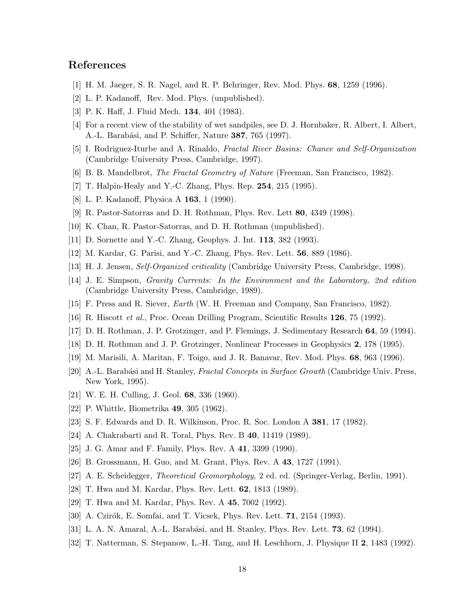# <span id="page-18-0"></span>References

- [1] H. M. Jaeger, S. R. Nagel, and R. P. Behringer, Rev. Mod. Phys. 68, 1259 (1996).
- [2] L. P. Kadanoff, Rev. Mod. Phys. (unpublished).
- [3] P. K. Haff, J. Fluid Mech. 134, 401 (1983).
- [4] For a recent view of the stability of wet sandpiles, see D. J. Hornbaker, R. Albert, I. Albert, A.-L. Barabási, and P. Schiffer, Nature 387, 765 (1997).
- [5] I. Rodriguez-Iturbe and A. Rinaldo, Fractal River Basins: Chance and Self-Organization (Cambridge University Press, Cambridge, 1997).
- [6] B. B. Mandelbrot, The Fractal Geometry of Nature (Freeman, San Francisco, 1982).
- [7] T. Halpin-Healy and Y.-C. Zhang, Phys. Rep. 254, 215 (1995).
- [8] L. P. Kadanoff, Physica A 163, 1 (1990).
- [9] R. Pastor-Satorras and D. H. Rothman, Phys. Rev. Lett 80, 4349 (1998).
- [10] K. Chan, R. Pastor-Satorras, and D. H. Rothman (unpublished).
- [11] D. Sornette and Y.-C. Zhang, Geophys. J. Int. **113**, 382 (1993).
- [12] M. Kardar, G. Parisi, and Y.-C. Zhang, Phys. Rev. Lett. 56, 889 (1986).
- [13] H. J. Jensen, Self-Organized criticality (Cambridge University Press, Cambridge, 1998).
- [14] J. E. Simpson, Gravity Currents: In the Environment and the Laboratory, 2nd edition (Cambridge University Press, Cambridge, 1989).
- [15] F. Press and R. Siever, Earth (W. H. Freeman and Company, San Francisco, 1982).
- [16] R. Hiscott et al., Proc. Ocean Drilling Program, Scientific Results 126, 75 (1992).
- [17] D. H. Rothman, J. P. Grotzinger, and P. Flemings, J. Sedimentary Research 64, 59 (1994).
- [18] D. H. Rothman and J. P. Grotzinger, Nonlinear Processes in Geophysics 2, 178 (1995).
- [19] M. Marisili, A. Maritan, F. Toigo, and J. R. Banavar, Rev. Mod. Phys. 68, 963 (1996).
- [20] A.-L. Barabási and H. Stanley, *Fractal Concepts in Surface Growth* (Cambridge Univ. Press, New York, 1995).
- [21] W. E. H. Culling, J. Geol. 68, 336 (1960).
- [22] P. Whittle, Biometrika 49, 305 (1962).
- [23] S. F. Edwards and D. R. Wilkinson, Proc. R. Soc. London A 381, 17 (1982).
- [24] A. Chakrabarti and R. Toral, Phys. Rev. B 40, 11419 (1989).
- [25] J. G. Amar and F. Family, Phys. Rev. A 41, 3399 (1990).
- [26] B. Grossmann, H. Guo, and M. Grant, Phys. Rev. A 43, 1727 (1991).
- [27] A. E. Scheidegger, Theoretical Geomorphology, 2 ed. ed. (Springer-Verlag, Berlin, 1991).
- [28] T. Hwa and M. Kardar, Phys. Rev. Lett. 62, 1813 (1989).
- [29] T. Hwa and M. Kardar, Phys. Rev. A 45, 7002 (1992).
- [30] A. Czirók, E. Somfai, and T. Vicsek, Phys. Rev. Lett. **71**, 2154 (1993).
- [31] L. A. N. Amaral, A.-L. Barabási, and H. Stanley, Phys. Rev. Lett. **73**, 62 (1994).
- [32] T. Natterman, S. Stepanow, L.-H. Tang, and H. Leschhorn, J. Physique II 2, 1483 (1992).